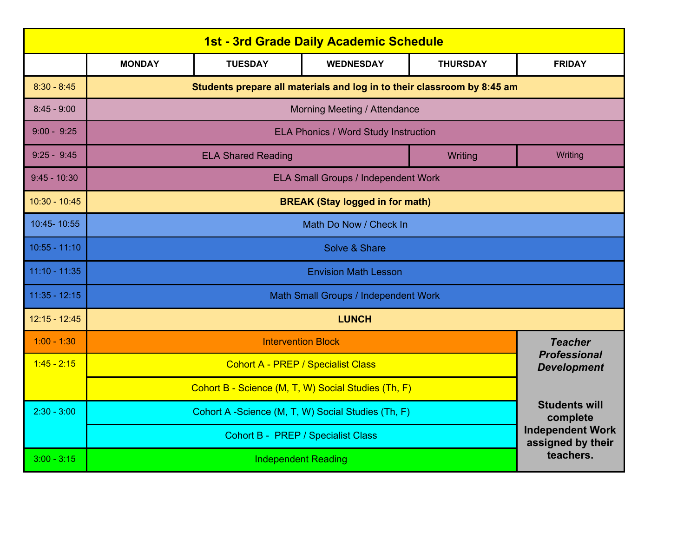| <b>1st - 3rd Grade Daily Academic Schedule</b> |                                                                         |                                                    |                                  |                 |                |  |  |  |
|------------------------------------------------|-------------------------------------------------------------------------|----------------------------------------------------|----------------------------------|-----------------|----------------|--|--|--|
|                                                | <b>MONDAY</b>                                                           | <b>TUESDAY</b>                                     | <b>WEDNESDAY</b>                 | <b>THURSDAY</b> | <b>FRIDAY</b>  |  |  |  |
| $8:30 - 8:45$                                  | Students prepare all materials and log in to their classroom by 8:45 am |                                                    |                                  |                 |                |  |  |  |
| $8:45 - 9:00$                                  | Morning Meeting / Attendance                                            |                                                    |                                  |                 |                |  |  |  |
| $9:00 - 9:25$                                  | ELA Phonics / Word Study Instruction                                    |                                                    |                                  |                 |                |  |  |  |
| $9:25 - 9:45$                                  | <b>ELA Shared Reading</b>                                               |                                                    |                                  | Writing         | Writing        |  |  |  |
| $9:45 - 10:30$                                 | <b>ELA Small Groups / Independent Work</b>                              |                                                    |                                  |                 |                |  |  |  |
| $10:30 - 10:45$                                | <b>BREAK (Stay logged in for math)</b>                                  |                                                    |                                  |                 |                |  |  |  |
| 10:45-10:55                                    | Math Do Now / Check In                                                  |                                                    |                                  |                 |                |  |  |  |
| $10:55 - 11:10$                                | Solve & Share                                                           |                                                    |                                  |                 |                |  |  |  |
| $11:10 - 11:35$                                | <b>Envision Math Lesson</b>                                             |                                                    |                                  |                 |                |  |  |  |
| $11:35 - 12:15$                                | Math Small Groups / Independent Work                                    |                                                    |                                  |                 |                |  |  |  |
| $12:15 - 12:45$                                | <b>LUNCH</b>                                                            |                                                    |                                  |                 |                |  |  |  |
| $1:00 - 1:30$                                  | <b>Intervention Block</b>                                               |                                                    |                                  |                 | <b>Teacher</b> |  |  |  |
| $1:45 - 2:15$                                  |                                                                         | <b>Professional</b><br><b>Development</b>          |                                  |                 |                |  |  |  |
|                                                | Cohort B - Science (M, T, W) Social Studies (Th, F)                     |                                                    |                                  |                 |                |  |  |  |
| $2:30 - 3:00$                                  |                                                                         | Cohort A -Science (M, T, W) Social Studies (Th, F) | <b>Students will</b><br>complete |                 |                |  |  |  |
|                                                |                                                                         | <b>Independent Work</b><br>assigned by their       |                                  |                 |                |  |  |  |
| $3:00 - 3:15$                                  | teachers.<br><b>Independent Reading</b>                                 |                                                    |                                  |                 |                |  |  |  |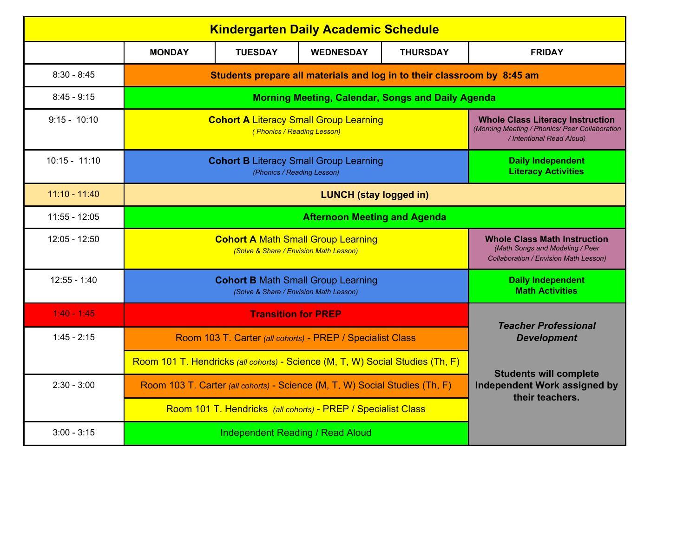| <b>Kindergarten Daily Academic Schedule</b>                   |                                                                             |                                                                                                                        |                                                                                |                 |                                                                                  |  |  |  |
|---------------------------------------------------------------|-----------------------------------------------------------------------------|------------------------------------------------------------------------------------------------------------------------|--------------------------------------------------------------------------------|-----------------|----------------------------------------------------------------------------------|--|--|--|
|                                                               | <b>MONDAY</b>                                                               | <b>TUESDAY</b>                                                                                                         | <b>WEDNESDAY</b>                                                               | <b>THURSDAY</b> | <b>FRIDAY</b>                                                                    |  |  |  |
| $8:30 - 8:45$                                                 |                                                                             | Students prepare all materials and log in to their classroom by 8:45 am                                                |                                                                                |                 |                                                                                  |  |  |  |
| $8:45 - 9:15$                                                 | <b>Morning Meeting, Calendar, Songs and Daily Agenda</b>                    |                                                                                                                        |                                                                                |                 |                                                                                  |  |  |  |
| $9:15 - 10:10$                                                | <b>Cohort A Literacy Small Group Learning</b>                               | <b>Whole Class Literacy Instruction</b><br>(Morning Meeting / Phonics/ Peer Collaboration<br>/ Intentional Read Aloud) |                                                                                |                 |                                                                                  |  |  |  |
| $10:15 - 11:10$                                               |                                                                             | <b>Cohort B Literacy Small Group Learning</b><br>(Phonics / Reading Lesson)                                            | <b>Daily Independent</b><br><b>Literacy Activities</b>                         |                 |                                                                                  |  |  |  |
| $11:10 - 11:40$                                               | <b>LUNCH (stay logged in)</b>                                               |                                                                                                                        |                                                                                |                 |                                                                                  |  |  |  |
| 11:55 - 12:05                                                 | <b>Afternoon Meeting and Agenda</b>                                         |                                                                                                                        |                                                                                |                 |                                                                                  |  |  |  |
| $12:05 - 12:50$                                               | <b>Cohort A Math Small Group Learning</b>                                   | <b>Whole Class Math Instruction</b><br>(Math Songs and Modeling / Peer<br><b>Collaboration / Envision Math Lesson)</b> |                                                                                |                 |                                                                                  |  |  |  |
| $12:55 - 1:40$                                                | <b>Cohort B Math Small Group Learning</b>                                   | <b>Daily Independent</b><br><b>Math Activities</b>                                                                     |                                                                                |                 |                                                                                  |  |  |  |
| $1:40 - 1:45$                                                 | <b>Transition for PREP</b>                                                  |                                                                                                                        |                                                                                |                 |                                                                                  |  |  |  |
| $1:45 - 2:15$                                                 |                                                                             |                                                                                                                        | Room 103 T. Carter (all cohorts) - PREP / Specialist Class                     |                 | <b>Teacher Professional</b><br><b>Development</b>                                |  |  |  |
|                                                               |                                                                             |                                                                                                                        | Room 101 T. Hendricks (all cohorts) - Science (M, T, W) Social Studies (Th, F) |                 |                                                                                  |  |  |  |
| $2:30 - 3:00$                                                 | Room 103 T. Carter (all cohorts) - Science (M, T, W) Social Studies (Th, F) |                                                                                                                        |                                                                                |                 | <b>Students will complete</b><br>Independent Work assigned by<br>their teachers. |  |  |  |
| Room 101 T. Hendricks (all cohorts) - PREP / Specialist Class |                                                                             |                                                                                                                        |                                                                                |                 |                                                                                  |  |  |  |
| $3:00 - 3:15$                                                 |                                                                             |                                                                                                                        |                                                                                |                 |                                                                                  |  |  |  |